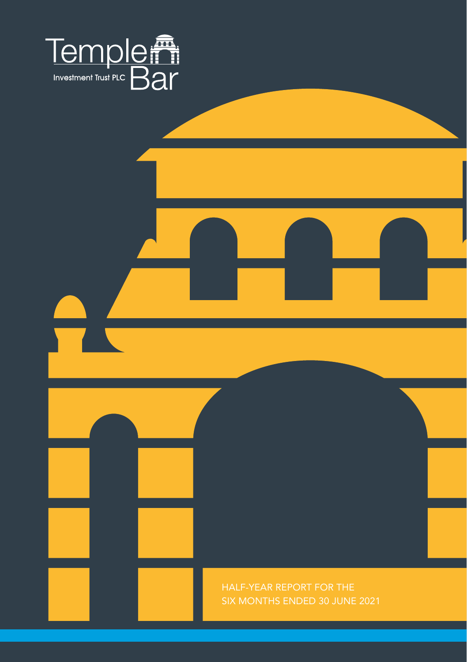



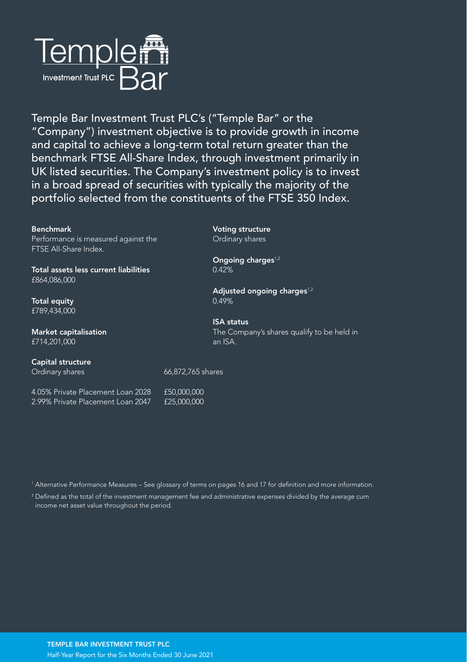

Temple Bar Investment Trust PLC's ("Temple Bar" or the "Company") investment objective is to provide growth in income and capital to achieve a long-term total return greater than the benchmark FTSE All-Share Index, through investment primarily in UK listed securities. The Company's investment policy is to invest in a broad spread of securities with typically the majority of the portfolio selected from the constituents of the FTSE 350 Index.

#### Benchmark

Performance is measured against the FTSE All-Share Index.

Total assets less current liabilities £864,086,000

Total equity £789,434,000

Market capitalisation £714,201,000

### Capital structure

4.05% Private Placement Loan 2028 £50,000,000 2.99% Private Placement Loan 2047 £25,000,000 Voting structure Ordinary shares

Ongoing charges<sup>1,2</sup> 0.42%

Adjusted ongoing charges $1,2$ 0.49%

ISA status The Company's shares qualify to be held in an ISA.

Ordinary shares 66,872,765 shares

1 Alternative Performance Measures – See glossary of terms on pages 16 and 17 for definition and more information.

 $2$  Defined as the total of the investment management fee and administrative expenses divided by the average cum income net asset value throughout the period.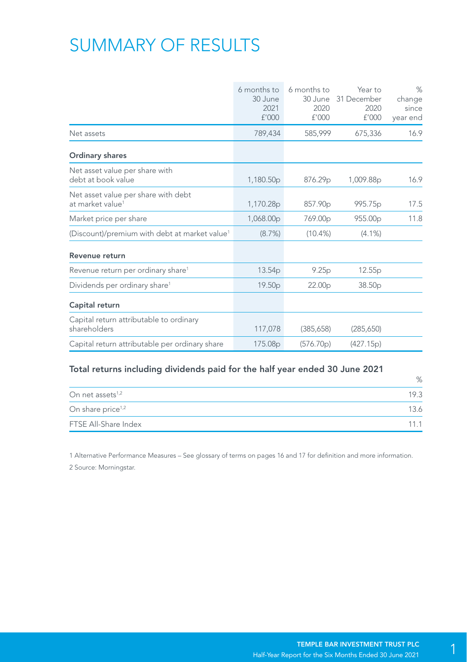# SUMMARY OF RESULTS

|                                                                     | 6 months to<br>30 June<br>2021<br>£'000 | 6 months to<br>30 June<br>2020<br>£'000 | Year to<br>31 December<br>2020<br>f'000 | $\%$<br>change<br>since<br>year end |
|---------------------------------------------------------------------|-----------------------------------------|-----------------------------------------|-----------------------------------------|-------------------------------------|
| Net assets                                                          | 789,434                                 | 585,999                                 | 675,336                                 | 16.9                                |
| Ordinary shares                                                     |                                         |                                         |                                         |                                     |
| Net asset value per share with<br>debt at book value                | 1,180.50p                               | 876.29p                                 | 1,009.88p                               | 16.9                                |
| Net asset value per share with debt<br>at market value <sup>1</sup> | 1,170.28p                               | 857.90p                                 | 995.75p                                 | 17.5                                |
| Market price per share                                              | 1,068.00p                               | 769.00p                                 | 955.00 <sub>p</sub>                     | 11.8                                |
| (Discount)/premium with debt at market value <sup>1</sup>           | (8.7%)                                  | $(10.4\%)$                              | $(4.1\%)$                               |                                     |
| Revenue return                                                      |                                         |                                         |                                         |                                     |
| Revenue return per ordinary share <sup>1</sup>                      | 13.54 <sub>p</sub>                      | 9.25p                                   | 12.55p                                  |                                     |
| Dividends per ordinary share <sup>1</sup>                           | 19.50 <sub>p</sub>                      | 22.00 <sub>p</sub>                      | 38.50 <sub>p</sub>                      |                                     |
| Capital return                                                      |                                         |                                         |                                         |                                     |
| Capital return attributable to ordinary<br>shareholders             | 117,078                                 | (385, 658)                              | (285, 650)                              |                                     |
| Capital return attributable per ordinary share                      | 175.08 <sub>p</sub>                     | (576.70p)                               | (427.15p)                               |                                     |

#### Total returns including dividends paid for the half year ended 30 June 2021

|                               | %    |
|-------------------------------|------|
| On net assets <sup>1,2</sup>  | 19.3 |
| On share price <sup>1,2</sup> | 13.6 |
| FTSE All-Share Index          | 11 1 |

1 Alternative Performance Measures – See glossary of terms on pages 16 and 17 for definition and more information. 2 Source: Morningstar.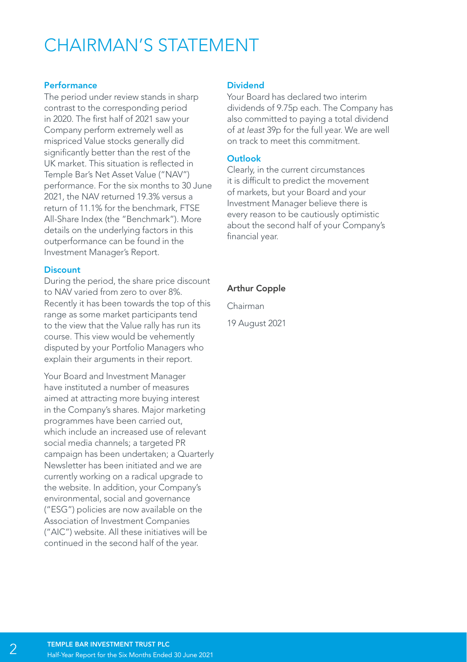## CHAIRMAN'S STATEMENT

#### Performance

The period under review stands in sharp contrast to the corresponding period in 2020. The first half of 2021 saw your Company perform extremely well as mispriced Value stocks generally did significantly better than the rest of the UK market. This situation is reflected in Temple Bar's Net Asset Value ("NAV") performance. For the six months to 30 June 2021, the NAV returned 19.3% versus a return of 11.1% for the benchmark, FTSE All-Share Index (the "Benchmark"). More details on the underlying factors in this outperformance can be found in the Investment Manager's Report.

#### **Discount**

During the period, the share price discount to NAV varied from zero to over 8%. Recently it has been towards the top of this range as some market participants tend to the view that the Value rally has run its course. This view would be vehemently disputed by your Portfolio Managers who explain their arguments in their report.

Your Board and Investment Manager have instituted a number of measures aimed at attracting more buying interest in the Company's shares. Major marketing programmes have been carried out, which include an increased use of relevant social media channels; a targeted PR campaign has been undertaken; a Quarterly Newsletter has been initiated and we are currently working on a radical upgrade to the website. In addition, your Company's environmental, social and governance ("ESG") policies are now available on the Association of Investment Companies ("AIC") website. All these initiatives will be continued in the second half of the year.

#### Dividend

Your Board has declared two interim dividends of 9.75p each. The Company has also committed to paying a total dividend of *at least* 39p for the full year. We are well on track to meet this commitment.

#### **Outlook**

Clearly, in the current circumstances it is difficult to predict the movement of markets, but your Board and your Investment Manager believe there is every reason to be cautiously optimistic about the second half of your Company's financial year.

#### Arthur Copple

Chairman

19 August 2021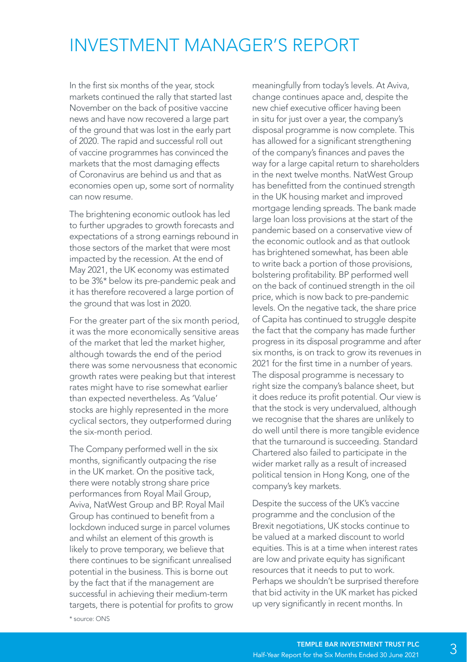## INVESTMENT MANAGER'S REPORT

In the first six months of the year, stock markets continued the rally that started last November on the back of positive vaccine news and have now recovered a large part of the ground that was lost in the early part of 2020. The rapid and successful roll out of vaccine programmes has convinced the markets that the most damaging effects of Coronavirus are behind us and that as economies open up, some sort of normality can now resume.

The brightening economic outlook has led to further upgrades to growth forecasts and expectations of a strong earnings rebound in those sectors of the market that were most impacted by the recession. At the end of May 2021, the UK economy was estimated to be 3%\* below its pre-pandemic peak and it has therefore recovered a large portion of the ground that was lost in 2020.

For the greater part of the six month period, it was the more economically sensitive areas of the market that led the market higher, although towards the end of the period there was some nervousness that economic growth rates were peaking but that interest rates might have to rise somewhat earlier than expected nevertheless. As 'Value' stocks are highly represented in the more cyclical sectors, they outperformed during the six-month period.

The Company performed well in the six months, significantly outpacing the rise in the UK market. On the positive tack, there were notably strong share price performances from Royal Mail Group, Aviva, NatWest Group and BP. Royal Mail Group has continued to benefit from a lockdown induced surge in parcel volumes and whilst an element of this growth is likely to prove temporary, we believe that there continues to be significant unrealised potential in the business. This is borne out by the fact that if the management are successful in achieving their medium-term targets, there is potential for profits to grow meaningfully from today's levels. At Aviva, change continues apace and, despite the new chief executive officer having been in situ for just over a year, the company's disposal programme is now complete. This has allowed for a significant strengthening of the company's finances and paves the way for a large capital return to shareholders in the next twelve months. NatWest Group has benefitted from the continued strength in the UK housing market and improved mortgage lending spreads. The bank made large loan loss provisions at the start of the pandemic based on a conservative view of the economic outlook and as that outlook has brightened somewhat, has been able to write back a portion of those provisions, bolstering profitability. BP performed well on the back of continued strength in the oil price, which is now back to pre-pandemic levels. On the negative tack, the share price of Capita has continued to struggle despite the fact that the company has made further progress in its disposal programme and after six months, is on track to grow its revenues in 2021 for the first time in a number of years. The disposal programme is necessary to right size the company's balance sheet, but it does reduce its profit potential. Our view is that the stock is very undervalued, although we recognise that the shares are unlikely to do well until there is more tangible evidence that the turnaround is succeeding. Standard Chartered also failed to participate in the wider market rally as a result of increased political tension in Hong Kong, one of the company's key markets.

Despite the success of the UK's vaccine programme and the conclusion of the Brexit negotiations, UK stocks continue to be valued at a marked discount to world equities. This is at a time when interest rates are low and private equity has significant resources that it needs to put to work. Perhaps we shouldn't be surprised therefore that bid activity in the UK market has picked up very significantly in recent months. In

\* source: ONS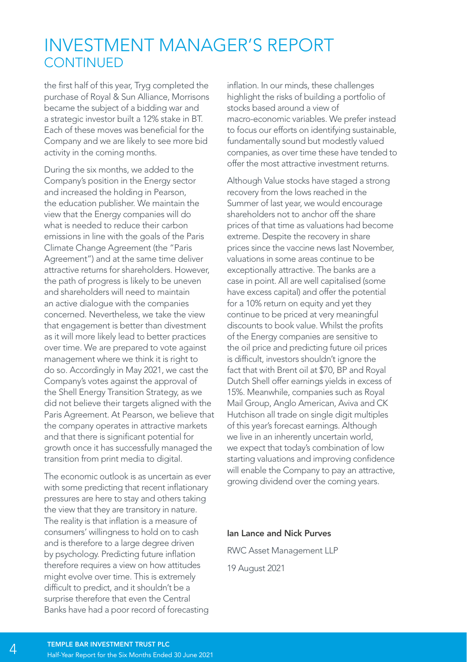### INVESTMENT MANAGER'S REPORT **CONTINUED**

the first half of this year, Tryg completed the purchase of Royal & Sun Alliance, Morrisons became the subject of a bidding war and a strategic investor built a 12% stake in BT. Each of these moves was beneficial for the Company and we are likely to see more bid activity in the coming months.

During the six months, we added to the Company's position in the Energy sector and increased the holding in Pearson, the education publisher. We maintain the view that the Energy companies will do what is needed to reduce their carbon emissions in line with the goals of the Paris Climate Change Agreement (the "Paris Agreement") and at the same time deliver attractive returns for shareholders. However, the path of progress is likely to be uneven and shareholders will need to maintain an active dialogue with the companies concerned. Nevertheless, we take the view that engagement is better than divestment as it will more likely lead to better practices over time. We are prepared to vote against management where we think it is right to do so. Accordingly in May 2021, we cast the Company's votes against the approval of the Shell Energy Transition Strategy, as we did not believe their targets aligned with the Paris Agreement. At Pearson, we believe that the company operates in attractive markets and that there is significant potential for growth once it has successfully managed the transition from print media to digital.

The economic outlook is as uncertain as ever with some predicting that recent inflationary pressures are here to stay and others taking the view that they are transitory in nature. The reality is that inflation is a measure of consumers' willingness to hold on to cash and is therefore to a large degree driven by psychology. Predicting future inflation therefore requires a view on how attitudes might evolve over time. This is extremely difficult to predict, and it shouldn't be a surprise therefore that even the Central Banks have had a poor record of forecasting

inflation. In our minds, these challenges highlight the risks of building a portfolio of stocks based around a view of macro-economic variables. We prefer instead to focus our efforts on identifying sustainable, fundamentally sound but modestly valued companies, as over time these have tended to offer the most attractive investment returns.

Although Value stocks have staged a strong recovery from the lows reached in the Summer of last year, we would encourage shareholders not to anchor off the share prices of that time as valuations had become extreme. Despite the recovery in share prices since the vaccine news last November, valuations in some areas continue to be exceptionally attractive. The banks are a case in point. All are well capitalised (some have excess capital) and offer the potential for a 10% return on equity and yet they continue to be priced at very meaningful discounts to book value. Whilst the profits of the Energy companies are sensitive to the oil price and predicting future oil prices is difficult, investors shouldn't ignore the fact that with Brent oil at \$70, BP and Royal Dutch Shell offer earnings yields in excess of 15%. Meanwhile, companies such as Royal Mail Group, Anglo American, Aviva and CK Hutchison all trade on single digit multiples of this year's forecast earnings. Although we live in an inherently uncertain world, we expect that today's combination of low starting valuations and improving confidence will enable the Company to pay an attractive, growing dividend over the coming years.

#### Ian Lance and Nick Purves

RWC Asset Management LLP

19 August 2021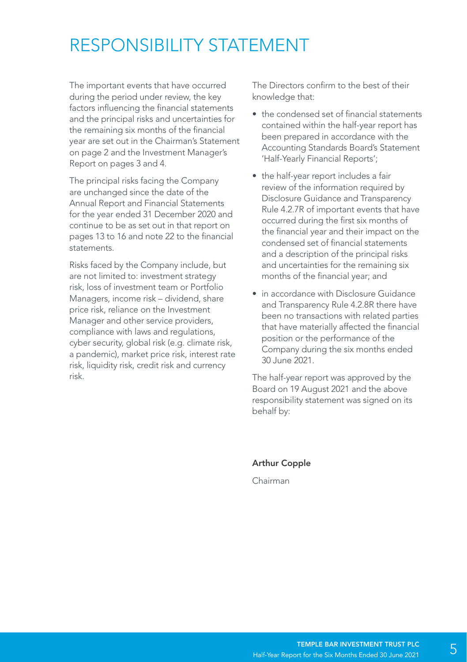## RESPONSIBILITY STATEMENT

The important events that have occurred during the period under review, the key factors influencing the financial statements and the principal risks and uncertainties for the remaining six months of the financial year are set out in the Chairman's Statement on page 2 and the Investment Manager's Report on pages 3 and 4.

The principal risks facing the Company are unchanged since the date of the Annual Report and Financial Statements for the year ended 31 December 2020 and continue to be as set out in that report on pages 13 to 16 and note 22 to the financial statements.

Risks faced by the Company include, but are not limited to: investment strategy risk, loss of investment team or Portfolio Managers, income risk – dividend, share price risk, reliance on the Investment Manager and other service providers, compliance with laws and regulations, cyber security, global risk (e.g. climate risk, a pandemic), market price risk, interest rate risk, liquidity risk, credit risk and currency risk.

The Directors confirm to the best of their knowledge that:

- the condensed set of financial statements contained within the half-year report has been prepared in accordance with the Accounting Standards Board's Statement 'Half-Yearly Financial Reports';
- the half-year report includes a fair review of the information required by Disclosure Guidance and Transparency Rule 4.2.7R of important events that have occurred during the first six months of the financial year and their impact on the condensed set of financial statements and a description of the principal risks and uncertainties for the remaining six months of the financial year; and
- in accordance with Disclosure Guidance and Transparency Rule 4.2.8R there have been no transactions with related parties that have materially affected the financial position or the performance of the Company during the six months ended 30 June 2021.

The half-year report was approved by the Board on 19 August 2021 and the above responsibility statement was signed on its behalf by:

Arthur Copple

Chairman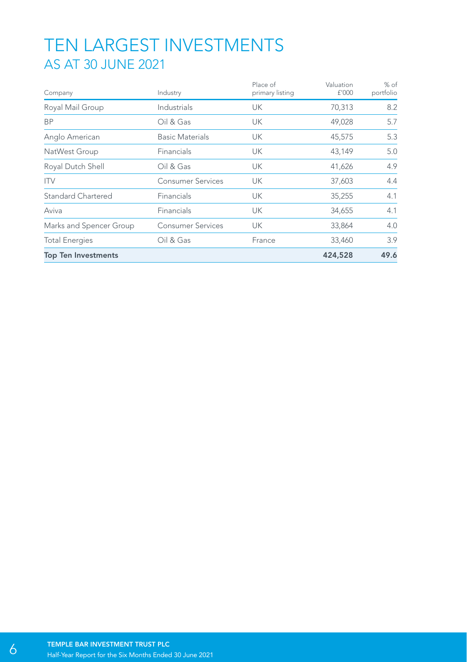### TEN LARGEST INVESTMENTS AS AT 30 JUNE 2021

| Company                    | Industry                 | Place of<br>primary listing | Valuation<br>£'000 | % of<br>portfolio |
|----------------------------|--------------------------|-----------------------------|--------------------|-------------------|
| Royal Mail Group           | Industrials              | UK                          | 70,313             | 8.2               |
| <b>BP</b>                  | Oil & Gas                | UK                          | 49,028             | 5.7               |
| Anglo American             | <b>Basic Materials</b>   | <b>UK</b>                   | 45,575             | 5.3               |
| NatWest Group              | <b>Financials</b>        | UK                          | 43,149             | 5.0               |
| Royal Dutch Shell          | Oil & Gas                | UK                          | 41,626             | 4.9               |
| <b>ITV</b>                 | Consumer Services        | UK                          | 37,603             | 4.4               |
| <b>Standard Chartered</b>  | Financials               | UK                          | 35,255             | 4.1               |
| Aviva                      | Financials               | UK                          | 34,655             | 4.1               |
| Marks and Spencer Group    | <b>Consumer Services</b> | UK                          | 33,864             | 4.0               |
| <b>Total Energies</b>      | Oil & Gas                | France                      | 33,460             | 3.9               |
| <b>Top Ten Investments</b> |                          |                             | 424,528            | 49.6              |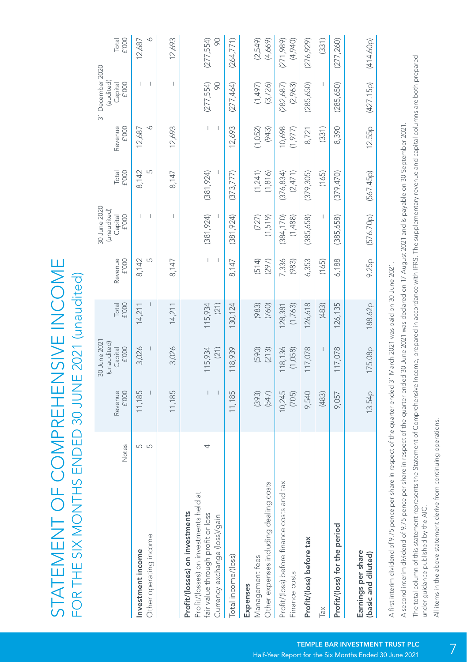STATEMENT OF COMPREHENSIVE INCOME STATEMENT OF COMPREHENSIVE INCOME FOR THE SIX MONTHS ENDED 30 JUNE 2021 (unaudited) FOR THE SIX MONTHS ENDED 30 JUNE 2021 (unaudited)

|                                                                          |       |                                        | 30 June 2021<br>(unaudited) |                    |                                                 | 30 June 2020<br>(unaudited) |                       |                                                                         | 31 December 2020<br>(audited) |                       |
|--------------------------------------------------------------------------|-------|----------------------------------------|-----------------------------|--------------------|-------------------------------------------------|-----------------------------|-----------------------|-------------------------------------------------------------------------|-------------------------------|-----------------------|
|                                                                          | Notes | ${\rm f}^{\prime}{\rm 000}$<br>Revenue | Capital<br>£'000            | Total<br>£'000     | Revenue<br>f'000                                | Capital<br>f'000            | Total<br>£'000        | Revenue<br>${\rm f}^{\prime}{\rm OOO}$                                  | f'000<br>Capital              | Total<br>£'000        |
| Investment income                                                        | 5     | 11,185                                 | 3,026                       | 14,211             | 8,142                                           |                             | 8,142                 | 12,687                                                                  | T                             | 12,687                |
| Other operating income                                                   | S     |                                        |                             |                    | 5                                               |                             | S                     | ∘                                                                       | ı                             | ◡                     |
|                                                                          |       | 11,185                                 | 3,026                       | 14,211             | 8,147                                           |                             | 8,147                 | 12,693                                                                  | L                             | 12,693                |
| Profit/(losses) on investments held at<br>Profit/(losses) on investments |       |                                        |                             |                    |                                                 |                             |                       |                                                                         |                               |                       |
| fair value through profit or loss<br>Currency exchange (loss)/gain       |       | I<br>I                                 | 115,934<br>(21)             | 115,934<br>(21)    | $\mid$<br>$\begin{array}{c} \hline \end{array}$ | (381, 924)                  | (381, 924)<br>I       | $\begin{array}{c} \end{array}$<br>$\begin{array}{c} \hline \end{array}$ | (277, 554)<br>8               | $\infty$<br>(277,554) |
| Total income/(loss)                                                      |       | 11,185                                 | 118,939                     | 130,124            | 8,147                                           | (381, 924)                  | (373,777)             | 12,693                                                                  | (277, 464)                    | (264, 771)            |
| Expenses                                                                 |       |                                        |                             |                    |                                                 |                             |                       |                                                                         |                               |                       |
| dealing costs<br>Other expenses including<br>Management fees             |       | (393)<br>(547)                         | (590)<br>(213)              | (983)<br>(760)     | (514)<br>(297)                                  | (1,519)<br>(727)            | (1, 241)<br>(1, 816)  | (1,052)<br>(943)                                                        | (1,497)<br>(3, 726)           | (2,549)<br>(4,669)    |
|                                                                          |       |                                        |                             |                    |                                                 |                             |                       |                                                                         |                               |                       |
| Profit/(loss) before finance costs and tax<br>Finance costs              |       | 10,245<br>(705)                        | 118,136<br>(1,058)          | (1,763)<br>128,381 | 7,336<br>(983)                                  | (384, 170)<br>(1,488)       | (376, 834)<br>(2,471) | 10,698<br>(1,977)                                                       | (282,687)<br>(2,963)          | (271, 989)<br>(4,940) |
| Profit/(loss) before tax                                                 |       | 9,540                                  | 117,078                     | 126,618            | 6,353                                           | (385, 658)                  | (379,305)             | 8,721                                                                   | (285, 650)                    | (276, 929)            |
| Гaх                                                                      |       | (483)                                  |                             | (483)              | (165)                                           |                             | (165)                 | (331)                                                                   |                               | (331)                 |
| Profit/(loss) for the period                                             |       | 9,057                                  | 117,078                     | 126,135            | 6,188                                           | (385, 658)                  | (379, 470)            | 8,390                                                                   | (285, 650)                    | (277,260)             |
| Earnings per share<br>(basic and diluted)                                |       | 13.54 <sub>p</sub>                     | 175.08p                     | 188.62p            | 9.25p                                           | (576.70p)                   | (567.45p)             | 12.55p                                                                  | (427.15p)                     | (414.60p)             |
|                                                                          |       |                                        |                             |                    |                                                 |                             |                       |                                                                         |                               |                       |

A first interim dividend of 9.75 pence per share in respect of the quarter ended 31 March 2021 was paid on 30 June 2021. A first interim dividend of 9.75 pence per share in respect of the quarter ended 31 March 2021 was paid on 30 June 2021. A second interim dividend of 9.75 pence per share in respect of the quarter ended 30 June 2021 was declared on 17 August 2021 and is payable on 30 September 2021. A second interim dividend of 9.75 pence per share in respect of the quarter ended 30 June 2021 was declared on 17 August 2021 and is payable on 30 September 2021. The total column of this statement represents the Statement of Comprehensive Income, prepared in accordance with IFRS. The supplementary revenue and capital columns are both prepared The total column of this statement represents the Statement of Comprehensive Income, prepared in accordance with IFRS. The supplementary revenue and capital columns are both prepared under guidance published by the AIC. under quidance published by the AIC.

All items in the above statement derive from continuing operations. All items in the above statement derive from continuing operations.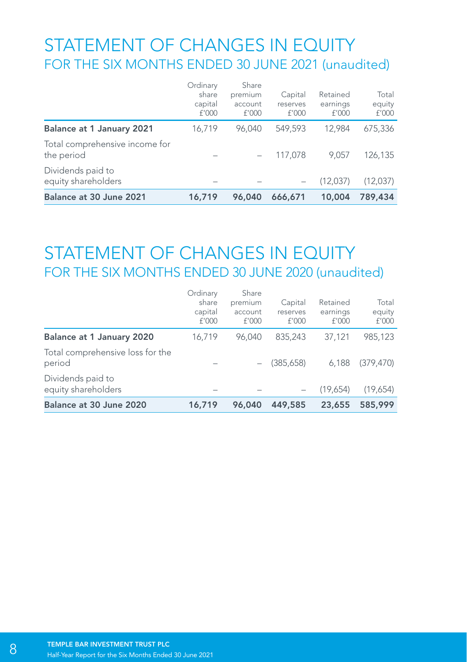## STATEMENT OF CHANGES IN EQUITY FOR THE SIX MONTHS ENDED 30 JUNE 2021 (unaudited)

| Balance at 30 June 2021                      | 16,719                                | 96,040                               | 666,671                      | 10,004                        | 789,434                  |
|----------------------------------------------|---------------------------------------|--------------------------------------|------------------------------|-------------------------------|--------------------------|
| Dividends paid to<br>equity shareholders     |                                       |                                      | $\overline{\phantom{a}}$     | (12.037)                      | (12.037)                 |
| Total comprehensive income for<br>the period |                                       |                                      | 117.078                      | 9.057                         | 126.135                  |
| Balance at 1 January 2021                    | 16,719                                | 96.040                               | 549.593                      | 12.984                        | 675.336                  |
|                                              | Ordinary<br>share<br>capital<br>f'000 | Share<br>premium<br>account<br>f'000 | Capital<br>reserves<br>f'000 | Retained<br>earnings<br>f'000 | Total<br>equity<br>f'000 |

### STATEMENT OF CHANGES IN EQUITY FOR THE SIX MONTHS ENDED 30 JUNE 2020 (unaudited)

| Balance at 30 June 2020                    | 16,719                                | 96,040                               | 449,585                      | 23,655                        | 585,999                  |
|--------------------------------------------|---------------------------------------|--------------------------------------|------------------------------|-------------------------------|--------------------------|
| Dividends paid to<br>equity shareholders   |                                       |                                      |                              | (19.654)                      | (19,654)                 |
| Total comprehensive loss for the<br>period |                                       |                                      | (385.658)                    | 6.188                         | (379.470)                |
| Balance at 1 January 2020                  | 16,719                                | 96.040                               | 835.243                      | 37,121                        | 985.123                  |
|                                            | Ordinary<br>share<br>capital<br>f'000 | Share<br>premium<br>account<br>f'000 | Capital<br>reserves<br>f'000 | Retained<br>earnings<br>f'000 | Total<br>equity<br>f'000 |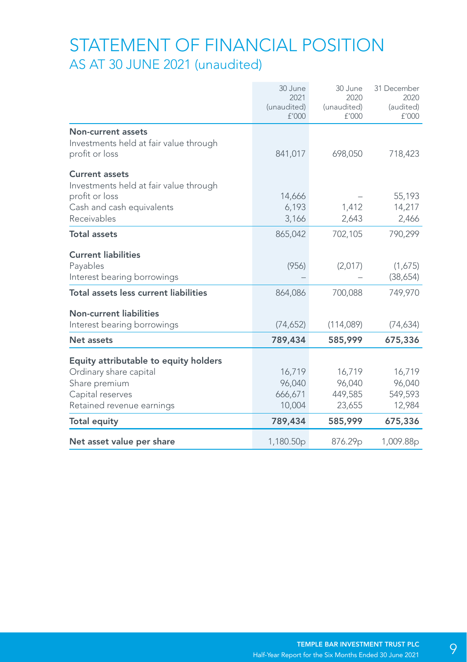### STATEMENT OF FINANCIAL POSITION AS AT 30 JUNE 2021 (unaudited)

|                                                                                | 30 June<br>2021<br>(unaudited)<br>f'000 | 30 June<br>2020<br>(unaudited)<br>f'000 | 31 December<br>2020<br>(audited)<br>f'000 |
|--------------------------------------------------------------------------------|-----------------------------------------|-----------------------------------------|-------------------------------------------|
| Non-current assets<br>Investments held at fair value through<br>profit or loss | 841,017                                 | 698,050                                 | 718,423                                   |
| <b>Current assets</b><br>Investments held at fair value through                |                                         |                                         |                                           |
| profit or loss                                                                 | 14,666                                  |                                         | 55,193                                    |
| Cash and cash equivalents                                                      | 6,193                                   | 1,412                                   | 14,217                                    |
| Receivables                                                                    | 3,166                                   | 2,643                                   | 2,466                                     |
| <b>Total assets</b>                                                            | 865,042                                 | 702.105                                 | 790,299                                   |
| <b>Current liabilities</b>                                                     |                                         |                                         |                                           |
| Payables                                                                       | (956)                                   | (2,017)                                 | (1,675)                                   |
| Interest bearing borrowings                                                    |                                         |                                         | (38,654)                                  |
| Total assets less current liabilities                                          | 864,086                                 | 700,088                                 | 749,970                                   |
| <b>Non-current liabilities</b>                                                 |                                         |                                         |                                           |
| Interest bearing borrowings                                                    | (74, 652)                               | (114,089)                               | (74, 634)                                 |
| Net assets                                                                     | 789,434                                 | 585,999                                 | 675,336                                   |
| Equity attributable to equity holders                                          |                                         |                                         |                                           |
| Ordinary share capital                                                         | 16,719                                  | 16,719                                  | 16,719                                    |
| Share premium                                                                  | 96,040                                  | 96,040                                  | 96,040                                    |
| Capital reserves                                                               | 666,671                                 | 449,585                                 | 549,593                                   |
| Retained revenue earnings                                                      | 10.004                                  | 23,655                                  | 12,984                                    |
| <b>Total equity</b>                                                            | 789,434                                 | 585,999                                 | 675,336                                   |
| Net asset value per share                                                      | 1,180.50 <sub>p</sub>                   | 876.29p                                 | 1,009.88p                                 |
|                                                                                |                                         |                                         |                                           |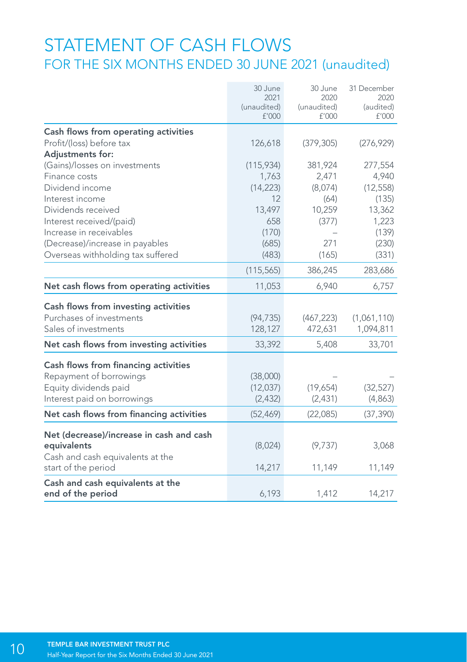### STATEMENT OF CASH FLOWS FOR THE SIX MONTHS ENDED 30 JUNE 2021 (unaudited)

|                                          | 30 June<br>2021<br>(unaudited)<br>f'000 | 30 June<br>2020<br>(unaudited)<br>f'000 | 31 December<br>2020<br>(audited)<br>£'000 |
|------------------------------------------|-----------------------------------------|-----------------------------------------|-------------------------------------------|
|                                          |                                         |                                         |                                           |
| Cash flows from operating activities     |                                         |                                         |                                           |
| Profit/(loss) before tax                 | 126,618                                 | (379, 305)                              | (276, 929)                                |
| Adjustments for:                         |                                         |                                         |                                           |
| (Gains)/losses on investments            | (115,934)                               | 381,924                                 | 277,554                                   |
| Finance costs                            | 1,763                                   | 2,471                                   | 4,940                                     |
| Dividend income                          | (14, 223)                               | (8,074)                                 | (12, 558)                                 |
| Interest income                          | 12                                      | (64)                                    | (135)                                     |
| Dividends received                       | 13,497                                  | 10,259                                  | 13,362                                    |
| Interest received/(paid)                 | 658                                     | (377)                                   | 1,223                                     |
| Increase in receivables                  | (170)                                   |                                         | (139)                                     |
| (Decrease)/increase in payables          | (685)                                   | 271                                     | (230)                                     |
| Overseas withholding tax suffered        | (483)                                   | (165)                                   | (331)                                     |
|                                          | (115, 565)                              | 386,245                                 | 283,686                                   |
| Net cash flows from operating activities | 11,053                                  | 6,940                                   | 6,757                                     |
| Cash flows from investing activities     |                                         |                                         |                                           |
| Purchases of investments                 | (94, 735)                               | (467, 223)                              | (1,061,110)                               |
| Sales of investments                     | 128,127                                 | 472,631                                 | 1,094,811                                 |
| Net cash flows from investing activities | 33,392                                  | 5,408                                   | 33,701                                    |
| Cash flows from financing activities     |                                         |                                         |                                           |
| Repayment of borrowings                  | (38,000)                                |                                         |                                           |
| Equity dividends paid                    | (12,037)                                | (19,654)                                | (32, 527)                                 |
| Interest paid on borrowings              | (2, 432)                                | (2,431)                                 | (4,863)                                   |
| Net cash flows from financing activities | (52, 469)                               | (22,085)                                | (37, 390)                                 |
|                                          |                                         |                                         |                                           |
| Net (decrease)/increase in cash and cash |                                         |                                         |                                           |
| equivalents                              | (8,024)                                 | (9,737)                                 | 3,068                                     |
| Cash and cash equivalents at the         |                                         |                                         |                                           |
| start of the period                      | 14,217                                  | 11,149                                  | 11,149                                    |
| Cash and cash equivalents at the         |                                         |                                         |                                           |
| end of the period                        | 6,193                                   | 1,412                                   | 14,217                                    |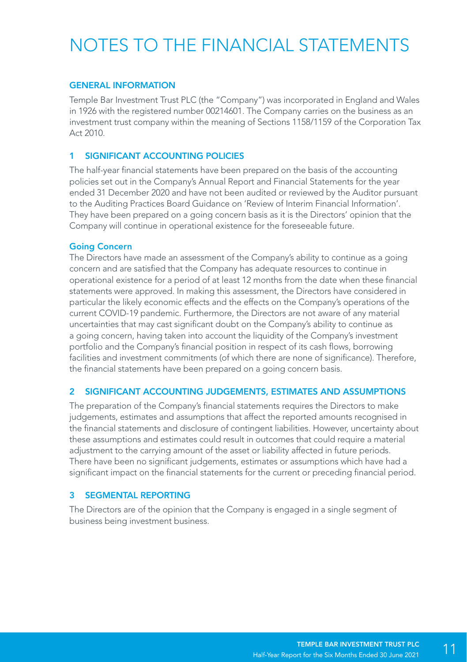# NOTES TO THE FINANCIAL STATEMENTS

#### GENERAL INFORMATION

Temple Bar Investment Trust PLC (the "Company") was incorporated in England and Wales in 1926 with the registered number 00214601. The Company carries on the business as an investment trust company within the meaning of Sections 1158/1159 of the Corporation Tax Act 2010.

#### 1 SIGNIFICANT ACCOUNTING POLICIES

The half-year financial statements have been prepared on the basis of the accounting policies set out in the Company's Annual Report and Financial Statements for the year ended 31 December 2020 and have not been audited or reviewed by the Auditor pursuant to the Auditing Practices Board Guidance on 'Review of Interim Financial Information'. They have been prepared on a going concern basis as it is the Directors' opinion that the Company will continue in operational existence for the foreseeable future.

#### Going Concern

The Directors have made an assessment of the Company's ability to continue as a going concern and are satisfied that the Company has adequate resources to continue in operational existence for a period of at least 12 months from the date when these financial statements were approved. In making this assessment, the Directors have considered in particular the likely economic effects and the effects on the Company's operations of the current COVID-19 pandemic. Furthermore, the Directors are not aware of any material uncertainties that may cast significant doubt on the Company's ability to continue as a going concern, having taken into account the liquidity of the Company's investment portfolio and the Company's financial position in respect of its cash flows, borrowing facilities and investment commitments (of which there are none of significance). Therefore, the financial statements have been prepared on a going concern basis.

#### 2 SIGNIFICANT ACCOUNTING JUDGEMENTS, ESTIMATES AND ASSUMPTIONS

The preparation of the Company's financial statements requires the Directors to make judgements, estimates and assumptions that affect the reported amounts recognised in the financial statements and disclosure of contingent liabilities. However, uncertainty about these assumptions and estimates could result in outcomes that could require a material adjustment to the carrying amount of the asset or liability affected in future periods. There have been no significant judgements, estimates or assumptions which have had a significant impact on the financial statements for the current or preceding financial period.

#### 3 SEGMENTAL REPORTING

The Directors are of the opinion that the Company is engaged in a single segment of business being investment business.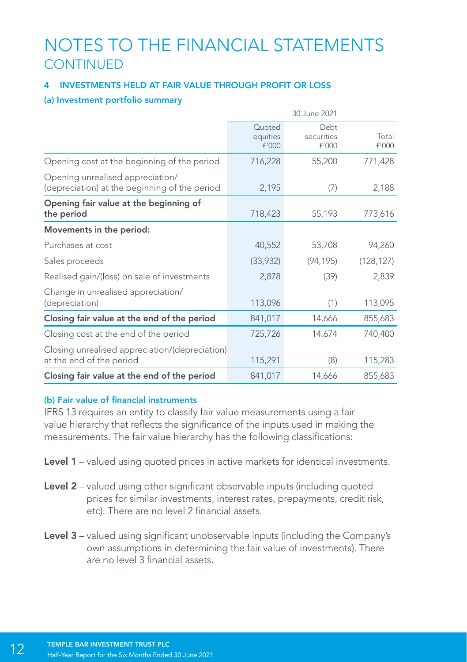### NOTES TO THE FINANCIAL STATEMENTS **CONTINUED**

#### 4 INVESTMENTS HELD AT FAIR VALUE THROUGH PROFIT OR LOSS

#### (a) Investment portfolio summary

|                                                                                   |                             | 30 June 2021                |                |
|-----------------------------------------------------------------------------------|-----------------------------|-----------------------------|----------------|
|                                                                                   | Quoted<br>equities<br>f'000 | Debt<br>securities<br>£'000 | Total<br>£'000 |
| Opening cost at the beginning of the period                                       | 716,228                     | 55,200                      | 771,428        |
| Opening unrealised appreciation/<br>(depreciation) at the beginning of the period | 2,195                       | (7)                         | 2,188          |
| Opening fair value at the beginning of<br>the period                              | 718,423                     | 55,193                      | 773,616        |
| Movements in the period:                                                          |                             |                             |                |
| Purchases at cost                                                                 | 40,552                      | 53,708                      | 94,260         |
| Sales proceeds                                                                    | (33,932)                    | (94, 195)                   | (128, 127)     |
| Realised gain/(loss) on sale of investments                                       | 2,878                       | (39)                        | 2,839          |
| Change in unrealised appreciation/<br>(depreciation)                              | 113,096                     | (1)                         | 113,095        |
| Closing fair value at the end of the period                                       | 841,017                     | 14,666                      | 855,683        |
| Closing cost at the end of the period                                             | 725,726                     | 14,674                      | 740,400        |
| Closing unrealised appreciation/(depreciation)<br>at the end of the period        | 115,291                     | (8)                         | 115,283        |
| Closing fair value at the end of the period                                       | 841,017                     | 14,666                      | 855,683        |

#### (b) Fair value of financial instruments

IFRS 13 requires an entity to classify fair value measurements using a fair value hierarchy that reflects the significance of the inputs used in making the measurements. The fair value hierarchy has the following classifications:

- Level 1 valued using quoted prices in active markets for identical investments.
- Level 2 valued using other significant observable inputs (including quoted prices for similar investments, interest rates, prepayments, credit risk, etc). There are no level 2 financial assets.
- Level 3 valued using significant unobservable inputs (including the Company's own assumptions in determining the fair value of investments). There are no level 3 financial assets.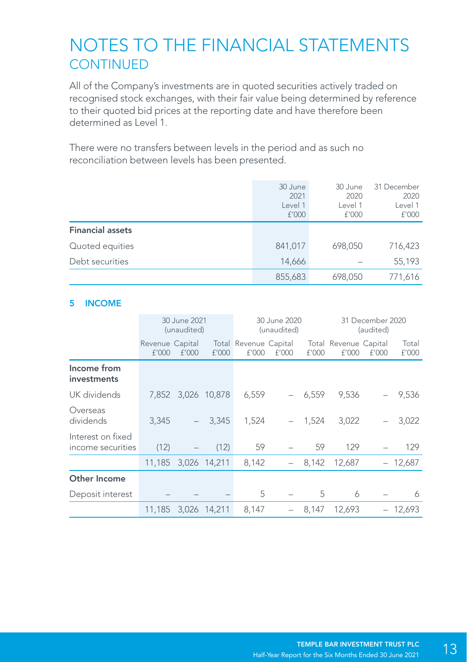### NOTES TO THE FINANCIAL STATEMENTS **CONTINUED**

All of the Company's investments are in quoted securities actively traded on recognised stock exchanges, with their fair value being determined by reference to their quoted bid prices at the reporting date and have therefore been determined as Level 1.

There were no transfers between levels in the period and as such no reconciliation between levels has been presented.

|                         | 30 June<br>2021<br>Level 1<br>f'000 | 30 June<br>2020<br>Level 1<br>f'000 | 31 December<br>2020<br>Level 1<br>f'000 |
|-------------------------|-------------------------------------|-------------------------------------|-----------------------------------------|
| <b>Financial assets</b> |                                     |                                     |                                         |
| Quoted equities         | 841.017                             | 698.050                             | 716.423                                 |
| Debt securities         | 14,666                              |                                     | 55.193                                  |
|                         | 855,683                             | 698,050                             | 771,616                                 |

#### 5 INCOME

|                                        |                          | 30 June 2021<br>(unaudited) |                    |                                | 30 June 2020<br>(unaudited) |          |                                | 31 December 2020<br>(audited) |                |
|----------------------------------------|--------------------------|-----------------------------|--------------------|--------------------------------|-----------------------------|----------|--------------------------------|-------------------------------|----------------|
|                                        | Revenue Capital<br>f'000 | f'000                       | f'000              | Total Revenue Capital<br>f'000 | f'000                       | f'000    | Total Revenue Capital<br>f'000 | f'000                         | Total<br>f'000 |
| Income from<br>investments             |                          |                             |                    |                                |                             |          |                                |                               |                |
| UK dividends                           |                          |                             | 7,852 3,026 10,878 | 6,559                          |                             | $-6,559$ | 9.536                          |                               | $-9,536$       |
| Overseas<br>dividends                  | 3.345                    |                             | $-3,345$           | 1.524                          |                             | $-1,524$ | 3.022                          | $-$                           | 3,022          |
| Interest on fixed<br>income securities | (12)                     |                             | (12)               | 59                             |                             | 59       | 129                            |                               | 129            |
|                                        | 11,185 3,026 14,211      |                             |                    | 8,142                          |                             | 8,142    | 12,687                         |                               | $-12,687$      |
| Other Income                           |                          |                             |                    |                                |                             |          |                                |                               |                |
| Deposit interest                       |                          |                             |                    | 5                              |                             | 5        | 6                              |                               | 6              |
|                                        | 11.185                   |                             | 3.026 14.211       | 8,147                          |                             | 8,147    | 12,693                         |                               | 12,693         |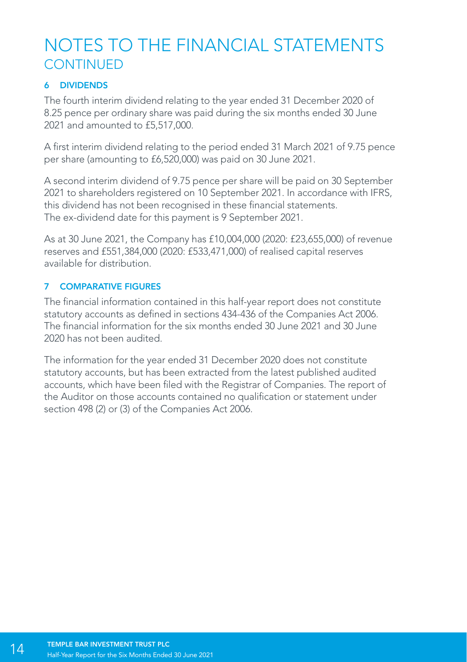## NOTES TO THE FINANCIAL STATEMENTS **CONTINUED**

#### 6 DIVIDENDS

The fourth interim dividend relating to the year ended 31 December 2020 of 8.25 pence per ordinary share was paid during the six months ended 30 June 2021 and amounted to £5,517,000.

A first interim dividend relating to the period ended 31 March 2021 of 9.75 pence per share (amounting to £6,520,000) was paid on 30 June 2021.

A second interim dividend of 9.75 pence per share will be paid on 30 September 2021 to shareholders registered on 10 September 2021. In accordance with IFRS, this dividend has not been recognised in these financial statements. The ex-dividend date for this payment is 9 September 2021.

As at 30 June 2021, the Company has £10,004,000 (2020: £23,655,000) of revenue reserves and £551,384,000 (2020: £533,471,000) of realised capital reserves available for distribution.

#### 7 COMPARATIVE FIGURES

The financial information contained in this half-year report does not constitute statutory accounts as defined in sections 434-436 of the Companies Act 2006. The financial information for the six months ended 30 June 2021 and 30 June 2020 has not been audited.

The information for the year ended 31 December 2020 does not constitute statutory accounts, but has been extracted from the latest published audited accounts, which have been filed with the Registrar of Companies. The report of the Auditor on those accounts contained no qualification or statement under section 498 (2) or (3) of the Companies Act 2006.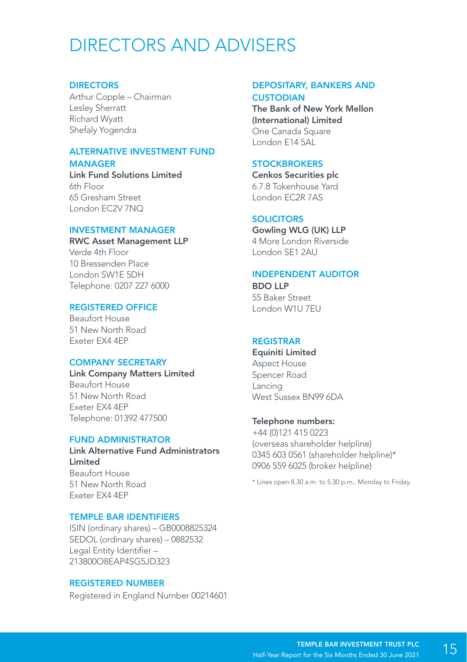## DIRECTORS AND ADVISERS

#### **DIRECTORS**

Arthur Copple – Chairman Lesley Sherratt Richard Wyatt Shefaly Yogendra

#### ALTERNATIVE INVESTMENT FUND **MANAGER**

Link Fund Solutions Limited 6th Floor 65 Gresham Street London EC2V 7NQ

#### INVESTMENT MANAGER

RWC Asset Management LLP Verde 4th Floor 10 Bressenden Place London SW1E 5DH Telephone: 0207 227 6000

#### REGISTERED OFFICE

Beaufort House 51 New North Road Exeter EX4 4EP

#### COMPANY SECRETARY

Link Company Matters Limited Beaufort House 51 New North Road Exeter EX4 4EP Telephone: 01392 477500

#### FUND ADMINISTRATOR

Link Alternative Fund Administrators Limited Beaufort House 51 New North Road Exeter EX4 4EP

#### TEMPLE BAR IDENTIFIERS

ISIN (ordinary shares) – GB0008825324 SEDOL (ordinary shares) – 0882532 Legal Entity Identifier – 213800O8EAP4SG5JD323

#### REGISTERED NUMBER

Registered in England Number 00214601

#### DEPOSITARY, BANKERS AND **CUSTODIAN**

The Bank of New York Mellon (International) Limited One Canada Square London E14 5AL

#### **STOCKBROKERS**

Cenkos Securities plc 6.7.8 Tokenhouse Yard London EC2R 7AS

#### SOLICITORS

Gowling WLG (UK) LLP 4 More London Riverside London SE1 2AU

#### INDEPENDENT AUDITOR

BDO LLP 55 Baker Street London W1U 7EU

#### REGISTRAR

Equiniti Limited Aspect House Spencer Road Lancing West Sussex BN99 6DA

#### Telephone numbers:

+44 (0)121 415 0223 (overseas shareholder helpline) 0345 603 0561 (shareholder helpline)\* 0906 559 6025 (broker helpline)

\* Lines open 8.30 a.m. to 5.30 p.m., Monday to Friday.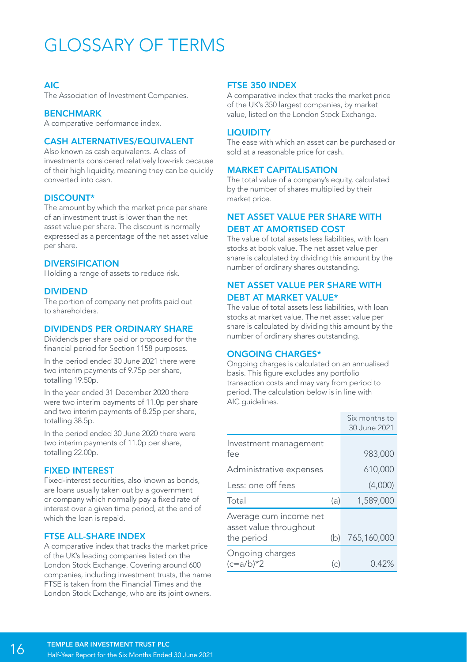## GLOSSARY OF TERMS

#### AIC

The Association of Investment Companies.

#### **BENCHMARK**

A comparative performance index.

#### CASH ALTERNATIVES/EQUIVALENT

Also known as cash equivalents. A class of investments considered relatively low-risk because of their high liquidity, meaning they can be quickly converted into cash.

#### DISCOUNT\*

The amount by which the market price per share of an investment trust is lower than the net asset value per share. The discount is normally expressed as a percentage of the net asset value per share.

#### **DIVERSIFICATION**

Holding a range of assets to reduce risk.

#### DIVIDEND

The portion of company net profits paid out to shareholders.

#### DIVIDENDS PER ORDINARY SHARE

Dividends per share paid or proposed for the financial period for Section 1158 purposes.

In the period ended 30 June 2021 there were two interim payments of 9.75p per share, totalling 19.50p.

In the year ended 31 December 2020 there were two interim payments of 11.0p per share and two interim payments of 8.25p per share, totalling 38.5p.

In the period ended 30 June 2020 there were two interim payments of 11.0p per share, totalling 22.00p.

#### FIXED INTEREST

Fixed-interest securities, also known as bonds, are loans usually taken out by a government or company which normally pay a fixed rate of interest over a given time period, at the end of which the loan is repaid.

#### FTSE ALL-SHARE INDEX

A comparative index that tracks the market price of the UK's leading companies listed on the London Stock Exchange. Covering around 600 companies, including investment trusts, the name FTSE is taken from the Financial Times and the London Stock Exchange, who are its joint owners.

#### FTSE 350 INDEX

A comparative index that tracks the market price of the UK's 350 largest companies, by market value, listed on the London Stock Exchange.

#### **LIQUIDITY**

The ease with which an asset can be purchased or sold at a reasonable price for cash.

#### MARKET CAPITALISATION

The total value of a company's equity, calculated by the number of shares multiplied by their market price.

#### NET ASSET VALUE PER SHARE WITH DEBT AT AMORTISED COST

The value of total assets less liabilities, with loan stocks at book value. The net asset value per share is calculated by dividing this amount by the number of ordinary shares outstanding.

#### NET ASSET VALUE PER SHARE WITH DEBT AT MARKET VALUE\*

The value of total assets less liabilities, with loan stocks at market value. The net asset value per share is calculated by dividing this amount by the number of ordinary shares outstanding.

#### ONGOING CHARGES\*

Ongoing charges is calculated on an annualised basis. This figure excludes any portfolio transaction costs and may vary from period to period. The calculation below is in line with AIC guidelines.

|                                                                |     | Six months to<br>30 June 2021 |
|----------------------------------------------------------------|-----|-------------------------------|
| Investment management<br>fee                                   |     | 983,000                       |
| Administrative expenses                                        |     | 610.000                       |
| Less: one off fees                                             |     | (4,000)                       |
| Total                                                          | (a) | 1,589,000                     |
| Average cum income net<br>asset value throughout<br>the period |     | (b) $765,160,000$             |
| Ongoing charges<br>$(c=a/b)*2$                                 | (c) | 0.42%                         |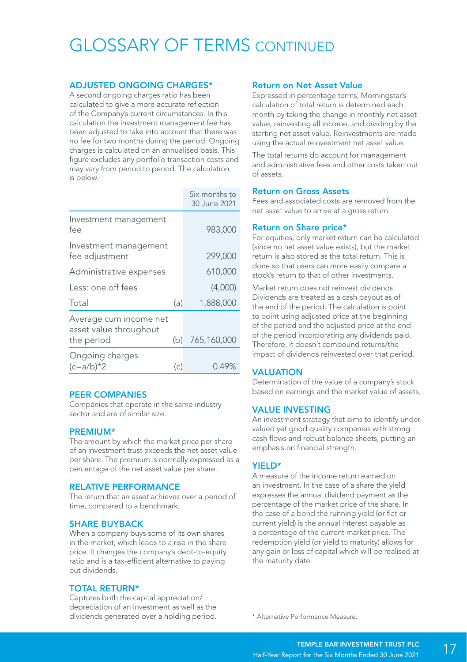## GLOSSARY OF TERMS CONTINUED

#### ADJUSTED ONGOING CHARGES\*

A second ongoing charges ratio has been calculated to give a more accurate reflection of the Company's current circumstances. In this calculation the investment management fee has been adjusted to take into account that there was no fee for two months during the period. Ongoing charges is calculated on an annualised basis. This figure excludes any portfolio transaction costs and may vary from period to period. The calculation is below.

|                                                                |     | Six months to<br>30 June 2021 |
|----------------------------------------------------------------|-----|-------------------------------|
| Investment management<br>fee                                   |     | 983,000                       |
| Investment management<br>fee adjustment                        |     | 299,000                       |
| Administrative expenses                                        |     | 610,000                       |
| Less: one off fees                                             |     | (4,000)                       |
| Total                                                          | (a) | 1,888,000                     |
| Average cum income net<br>asset value throughout<br>the period | (b) | 765,160,000                   |
| Ongoing charges<br>$(c=a/b)*2$                                 | (c) | 0.49%                         |

#### PEER COMPANIES

Companies that operate in the same industry sector and are of similar size.

#### PREMIUM\*

The amount by which the market price per share of an investment trust exceeds the net asset value per share. The premium is normally expressed as a percentage of the net asset value per share.

#### RELATIVE PERFORMANCE

The return that an asset achieves over a period of time, compared to a benchmark.

#### SHARE BUYBACK

When a company buys some of its own shares in the market, which leads to a rise in the share price. It changes the company's debt-to-equity ratio and is a tax-efficient alternative to paying out dividends.

#### TOTAL RETURN\*

Captures both the capital appreciation/ depreciation of an investment as well as the dividends generated over a holding period.

#### Return on Net Asset Value

Expressed in percentage terms, Morningstar's calculation of total return is determined each month by taking the change in monthly net asset value, reinvesting all income, and dividing by the starting net asset value. Reinvestments are made using the actual reinvestment net asset value.

The total returns do account for management and administrative fees and other costs taken out of assets.

#### Return on Gross Assets

Fees and associated costs are removed from the net asset value to arrive at a gross return.

#### Return on Share price\*

For equities, only market return can be calculated (since no net asset value exists), but the market return is also stored as the total return. This is done so that users can more easily compare a stock's return to that of other investments.

Market return does not reinvest dividends. Dividends are treated as a cash payout as of the end of the period. The calculation is point to point using adjusted price at the beginning of the period and the adjusted price at the end of the period incorporating any dividends paid. Therefore, it doesn't compound returns/the impact of dividends reinvested over that period.

#### **VALUATION**

Determination of the value of a company's stock based on earnings and the market value of assets.

#### VALUE INVESTING

An investment strategy that aims to identify undervalued yet good quality companies with strong cash flows and robust balance sheets, putting an emphasis on financial strength.

#### YIELD\*

A measure of the income return earned on an investment. In the case of a share the yield expresses the annual dividend payment as the percentage of the market price of the share. In the case of a bond the running yield (or flat or current yield) is the annual interest payable as a percentage of the current market price. The redemption yield (or yield to maturity) allows for any gain or loss of capital which will be realised at the maturity date.

\* Alternative Performance Measure.